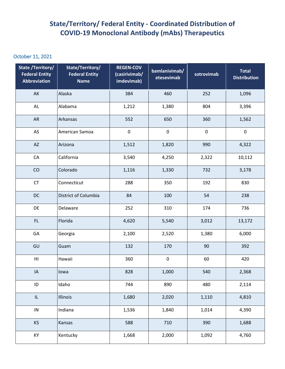## **State/Territory/ Federal Entity - Coordinated Distribution of COVID-19 Monoclonal Antibody (mAbs) Therapeutics**

## October 11, 2021

| State /Territory/<br><b>Federal Entity</b><br>Abbreviation | State/Territory/<br><b>Federal Entity</b><br><b>Name</b> | <b>REGEN-COV</b><br>(casirivimab/<br>imdevimab) | bamlanivimab/<br>etesevimab | sotrovimab | <b>Total</b><br><b>Distribution</b> |
|------------------------------------------------------------|----------------------------------------------------------|-------------------------------------------------|-----------------------------|------------|-------------------------------------|
| AK                                                         | Alaska                                                   | 384                                             | 460                         | 252        | 1,096                               |
| $\mathsf{AL}$                                              | Alabama                                                  | 1,212                                           | 1,380                       | 804        | 3,396                               |
| <b>AR</b>                                                  | Arkansas                                                 | 552                                             | 650                         | 360        | 1,562                               |
| AS                                                         | American Samoa                                           | $\pmb{0}$                                       | $\pmb{0}$                   | $\pmb{0}$  | $\pmb{0}$                           |
| $\mathsf{A}\mathsf{Z}$                                     | Arizona                                                  | 1,512                                           | 1,820                       | 990        | 4,322                               |
| ${\sf CA}$                                                 | California                                               | 3,540                                           | 4,250                       | 2,322      | 10,112                              |
| CO                                                         | Colorado                                                 | 1,116                                           | 1,330                       | 732        | 3,178                               |
| CT                                                         | Connecticut                                              | 288                                             | 350                         | 192        | 830                                 |
| DC                                                         | District of Columbia                                     | 84                                              | 100                         | 54         | 238                                 |
| DE                                                         | Delaware                                                 | 252                                             | 310                         | 174        | 736                                 |
| FL                                                         | Florida                                                  | 4,620                                           | 5,540                       | 3,012      | 13,172                              |
| GA                                                         | Georgia                                                  | 2,100                                           | 2,520                       | 1,380      | 6,000                               |
| GU                                                         | Guam                                                     | 132                                             | 170                         | 90         | 392                                 |
| $\mathsf{H}\mathsf{I}$                                     | Hawaii                                                   | 360                                             | $\pmb{0}$                   | 60         | 420                                 |
| IA                                                         | lowa                                                     | 828                                             | 1,000                       | 540        | 2,368                               |
| $\sf ID$                                                   | Idaho                                                    | 744                                             | 890                         | 480        | 2,114                               |
| $\ensuremath{\mathsf{IL}}\xspace$                          | Illinois                                                 | 1,680                                           | 2,020                       | 1,110      | 4,810                               |
| $\sf IN$                                                   | Indiana                                                  | 1,536                                           | 1,840                       | 1,014      | 4,390                               |
| KS                                                         | Kansas                                                   | 588                                             | 710                         | 390        | 1,688                               |
| KY                                                         | Kentucky                                                 | 1,668                                           | 2,000                       | 1,092      | 4,760                               |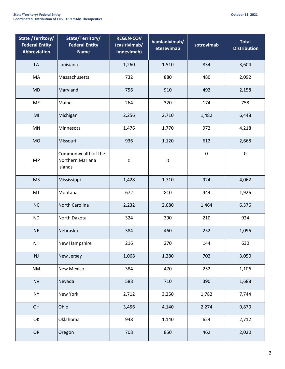| <b>State /Territory/</b><br><b>Federal Entity</b><br><b>Abbreviation</b> | State/Territory/<br><b>Federal Entity</b><br><b>Name</b> | <b>REGEN-COV</b><br>(casirivimab/<br>imdevimab) | bamlanivimab/<br>etesevimab | sotrovimab | <b>Total</b><br><b>Distribution</b> |
|--------------------------------------------------------------------------|----------------------------------------------------------|-------------------------------------------------|-----------------------------|------------|-------------------------------------|
| LA                                                                       | Louisiana                                                | 1,260                                           | 1,510                       | 834        | 3,604                               |
| MA                                                                       | Massachusetts                                            | 732                                             | 880                         | 480        | 2,092                               |
| <b>MD</b>                                                                | Maryland                                                 | 756                                             | 910                         | 492        | 2,158                               |
| ME                                                                       | Maine                                                    | 264                                             | 320                         | 174        | 758                                 |
| MI                                                                       | Michigan                                                 | 2,256                                           | 2,710                       | 1,482      | 6,448                               |
| MN                                                                       | Minnesota                                                | 1,476                                           | 1,770                       | 972        | 4,218                               |
| <b>MO</b>                                                                | Missouri                                                 | 936                                             | 1,120                       | 612        | 2,668                               |
| <b>MP</b>                                                                | Commonwealth of the<br>Northern Mariana<br>Islands       | $\pmb{0}$                                       | $\pmb{0}$                   | $\pmb{0}$  | $\pmb{0}$                           |
| <b>MS</b>                                                                | Mississippi                                              | 1,428                                           | 1,710                       | 924        | 4,062                               |
| MT                                                                       | Montana                                                  | 672                                             | 810                         | 444        | 1,926                               |
| <b>NC</b>                                                                | North Carolina                                           | 2,232                                           | 2,680                       | 1,464      | 6,376                               |
| <b>ND</b>                                                                | North Dakota                                             | 324                                             | 390                         | 210        | 924                                 |
| <b>NE</b>                                                                | Nebraska                                                 | 384                                             | 460                         | 252        | 1,096                               |
| <b>NH</b>                                                                | New Hampshire                                            | 216                                             | 270                         | 144        | 630                                 |
| NJ                                                                       | New Jersey                                               | 1,068                                           | 1,280                       | 702        | 3,050                               |
| <b>NM</b>                                                                | New Mexico                                               | 384                                             | 470                         | 252        | 1,106                               |
| <b>NV</b>                                                                | Nevada                                                   | 588                                             | 710                         | 390        | 1,688                               |
| <b>NY</b>                                                                | New York                                                 | 2,712                                           | 3,250                       | 1,782      | 7,744                               |
| OH                                                                       | Ohio                                                     | 3,456                                           | 4,140                       | 2,274      | 9,870                               |
| OK                                                                       | Oklahoma                                                 | 948                                             | 1,140                       | 624        | 2,712                               |
| OR                                                                       | Oregon                                                   | 708                                             | 850                         | 462        | 2,020                               |